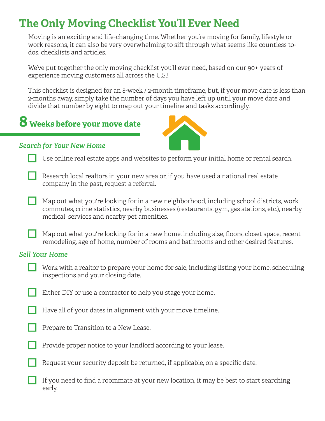# **The Only Moving Checklist You'll Ever Need**

Moving is an exciting and life-changing time. Whether you're moving for family, lifestyle or work reasons, it can also be very overwhelming to sift through what seems like countless todos, checklists and articles.

We've put together the only moving checklist you'll ever need, based on our 90+ years of experience moving customers all across the U.S.!

This checklist is designed for an 8-week / 2-month timeframe, but, if your move date is less than 2-months away, simply take the number of days you have left up until your move date and divide that number by eight to map out your timeline and tasks accordingly.

# **8 Weeks before your move date**



#### *Search for Your New Home*

Use online real estate apps and websites to perform your initial home or rental search.

Research local realtors in your new area or, if you have used a national real estate company in the past, request a referral.

■ Map out what you're looking for in a new neighborhood, including school districts, work commutes, crime statistics, nearby businesses (restaurants, gym, gas stations, etc.), nearby medical services and nearby pet amenities.

Map out what you're looking for in a new home, including size, floors, closet space, recent remodeling, age of home, number of rooms and bathrooms and other desired features.

#### *Sell Your Home*

- Work with a realtor to prepare your home for sale, including listing your home, scheduling inspections and your closing date.
- Either DIY or use a contractor to help you stage your home.
- Have all of your dates in alignment with your move timeline.
- Prepare to Transition to a New Lease.



Request your security deposit be returned, if applicable, on a specific date.

If you need to find a roommate at your new location, it may be best to start searching early.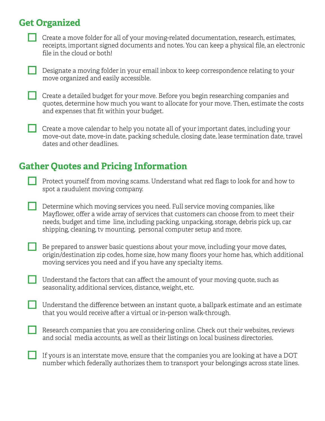## **Get Organized**



Create a move folder for all of your moving-related documentation, research, estimates, receipts, important signed documents and notes. You can keep a physical file, an electronic file in the cloud or both!

Designate a moving folder in your email inbox to keep correspondence relating to your move organized and easily accessible.

■ Create a detailed budget for your move. Before you begin researching companies and quotes, determine how much you want to allocate for your move. Then, estimate the costs and expenses that fit within your budget.

■ Create a move calendar to help you notate all of your important dates, including your move-out date, move-in date, packing schedule, closing date, lease termination date, travel dates and other deadlines.

## **Gather Quotes and Pricing Information**

■ Protect yourself from moving scams. Understand what red flags to look for and how to spot a raudulent moving company.

■ Determine which moving services you need. Full service moving companies, like Mayflower, offer a wide array of services that customers can choose from to meet their needs, budget and time line, including packing, unpacking, storage, debris pick up, car shipping, cleaning, tv mounting, personal computer setup and more.

 $\Box$  Be prepared to answer basic questions about your move, including your move dates, origin/destination zip codes, home size, how many floors your home has, which additional moving services you need and if you have any specialty items.

Understand the factors that can affect the amount of your moving quote, such as seasonality, additional services, distance, weight, etc.

Understand the difference between an instant quote, a ballpark estimate and an estimate that you would receive after a virtual or in-person walk-through.

Research companies that you are considering online. Check out their websites, reviews and social media accounts, as well as their listings on local business directories.

 $\blacksquare$  If yours is an interstate move, ensure that the companies you are looking at have a DOT number which federally authorizes them to transport your belongings across state lines.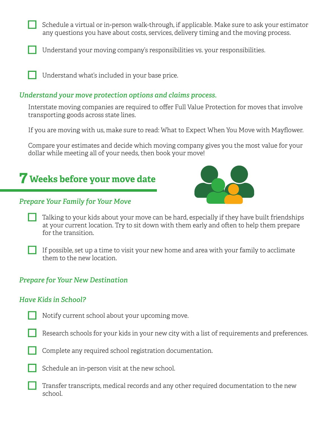Schedule a virtual or in-person walk-through, if applicable. Make sure to ask your estimator any questions you have about costs, services, delivery timing and the moving process.

Understand your moving company's responsibilities vs. your responsibilities.

Understand what's included in your base price.

#### *Understand your move protection options and claims process.*

Interstate moving companies are required to offer Full Value Protection for moves that involve transporting goods across state lines.

If you are moving with us, make sure to read: What to Expect When You Move with Mayflower.

Compare your estimates and decide which moving company gives you the most value for your dollar while meeting all of your needs, then book your move!

# **7 Weeks before your move date**



#### *Prepare Your Family for Your Move*

Talking to your kids about your move can be hard, especially if they have built friendships at your current location. Try to sit down with them early and often to help them prepare for the transition.

If possible, set up a time to visit your new home and area with your family to acclimate them to the new location.

#### *Prepare for Your New Destination*

#### *Have Kids in School?*

- Notify current school about your upcoming move.
- Research schools for your kids in your new city with a list of requirements and preferences.
- Complete any required school registration documentation.
- Schedule an in-person visit at the new school.
- Transfer transcripts, medical records and any other required documentation to the new school.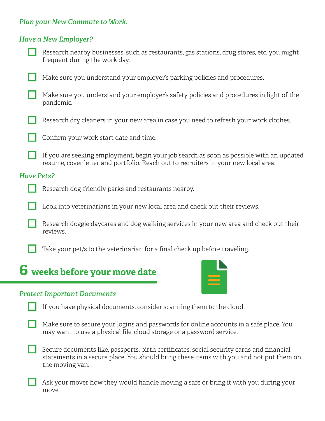#### *Plan your New Commute to Work.*

#### *Have a New Employer?*



Make sure you understand your employer's parking policies and procedures.

Make sure you understand your employer's safety policies and procedures in light of the pandemic.

Research dry cleaners in your new area in case you need to refresh your work clothes.

Confirm your work start date and time.

If you are seeking employment, begin your job search as soon as possible with an updated resume, cover letter and portfolio. Reach out to recruiters in your new local area.

#### *Have Pets?*

Research dog-friendly parks and restaurants nearby.

Look into veterinarians in your new local area and check out their reviews.

Research doggie daycares and dog walking services in your new area and check out their reviews.

Take your pet/s to the veterinarian for a final check up before traveling.

# **6 weeks before your move date**



#### *Protect Important Documents*

If you have physical documents, consider scanning them to the cloud.

Make sure to secure your logins and passwords for online accounts in a safe place. You may want to use a physical file, cloud storage or a password service.

Secure documents like, passports, birth certificates, social security cards and financial statements in a secure place. You should bring these items with you and not put them on the moving van.

Ask your mover how they would handle moving a safe or bring it with you during your move.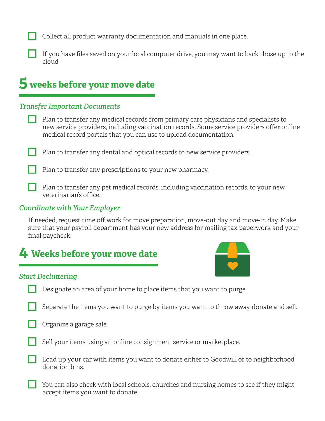Collect all product warranty documentation and manuals in one place.

If you have files saved on your local computer drive, you may want to back those up to the cloud

# **5 weeks before your move date**

#### *Transfer Important Documents*

Plan to transfer any medical records from primary care physicians and specialists to new service providers, including vaccination records. Some service providers offer online medical record portals that you can use to upload documentation.

Plan to transfer any dental and optical records to new service providers.

Plan to transfer any prescriptions to your new pharmacy.

Plan to transfer any pet medical records, including vaccination records, to your new veterinarian's office.

#### *Coordinate with Your Employer*

If needed, request time off work for move preparation, move-out day and move-in day. Make sure that your payroll department has your new address for mailing tax paperwork and your final paycheck.

## **4 Weeks before your move date**



#### *Start Decluttering*

- Designate an area of your home to place items that you want to purge.
- Separate the items you want to purge by items you want to throw away, donate and sell.
	- Organize a garage sale.



- Load up your car with items you want to donate either to Goodwill or to neighborhood donation bins.
	- You can also check with local schools, churches and nursing homes to see if they might accept items you want to donate.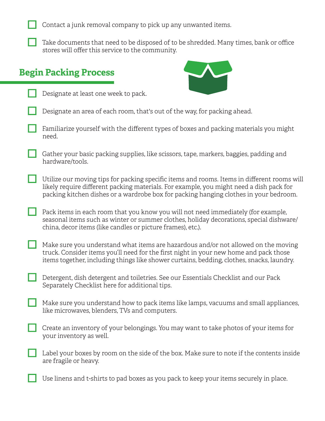Contact a junk removal company to pick up any unwanted items.

Take documents that need to be disposed of to be shredded. Many times, bank or office stores will offer this service to the community.

### **Begin Packing Process**

Designate at least one week to pack.



Designate an area of each room, that's out of the way, for packing ahead.

Familiarize yourself with the different types of boxes and packing materials you might need.

■ Gather your basic packing supplies, like scissors, tape, markers, baggies, padding and hardware/tools.

■ Utilize our moving tips for packing specific items and rooms. Items in different rooms will likely require different packing materials. For example, you might need a dish pack for packing kitchen dishes or a wardrobe box for packing hanging clothes in your bedroom.

Pack items in each room that you know you will not need immediately (for example, seasonal items such as winter or summer clothes, holiday decorations, special dishware/ china, decor items (like candles or picture frames), etc.).

Make sure you understand what items are hazardous and/or not allowed on the moving truck. Consider items you'll need for the first night in your new home and pack those items together, including things like shower curtains, bedding, clothes, snacks, laundry.

Detergent, dish detergent and toiletries. See our Essentials Checklist and our Pack Separately Checklist here for additional tips.

Make sure you understand how to pack items like lamps, vacuums and small appliances, like microwaves, blenders, TVs and computers.

Create an inventory of your belongings. You may want to take photos of your items for your inventory as well.

 $\blacksquare$  Label your boxes by room on the side of the box. Make sure to note if the contents inside are fragile or heavy.

Use linens and t-shirts to pad boxes as you pack to keep your items securely in place.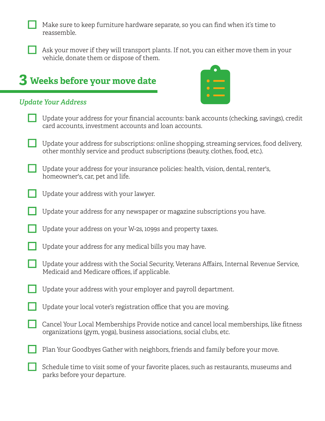Make sure to keep furniture hardware separate, so you can find when it's time to reassemble.

Ask your mover if they will transport plants. If not, you can either move them in your vehicle, donate them or dispose of them.

# **3 Weeks before your move date**



#### *Update Your Address*

- Update your address for your financial accounts: bank accounts (checking, savings), credit card accounts, investment accounts and loan accounts.
- Update your address for subscriptions: online shopping, streaming services, food delivery, other monthly service and product subscriptions (beauty, clothes, food, etc.).
- Update your address for your insurance policies: health, vision, dental, renter's, homeowner's, car, pet and life.
- Update your address with your lawyer.
- Update your address for any newspaper or magazine subscriptions you have.
- Update your address on your W-2s, 1099s and property taxes.
- Update your address for any medical bills you may have.
- Update your address with the Social Security, Veterans Affairs, Internal Revenue Service, Medicaid and Medicare offices, if applicable.
- Update your address with your employer and payroll department.
- Update your local voter's registration office that you are moving.
- Cancel Your Local Memberships Provide notice and cancel local memberships, like fitness organizations (gym, yoga), business associations, social clubs, etc.
- Plan Your Goodbyes Gather with neighbors, friends and family before your move.
	- Schedule time to visit some of your favorite places, such as restaurants, museums and parks before your departure.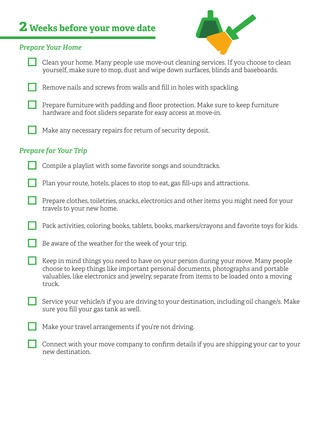# **2 Weeks before your move date**

#### *Prepare Your Home*



- Clean your home. Many people use move-out cleaning services. If you choose to clean yourself, make sure to mop, dust and wipe down surfaces, blinds and baseboards.
- Remove nails and screws from walls and fill in holes with spackling.
- Prepare furniture with padding and floor protection. Make sure to keep furniture hardware and foot sliders separate for easy access at move-in.
- Make any necessary repairs for return of security deposit.

#### *Prepare for Your Trip*

- Compile a playlist with some favorite songs and soundtracks.
- Plan your route, hotels, places to stop to eat, gas fill-ups and attractions.
- Prepare clothes, toiletries, snacks, electronics and other items you might need for your travels to your new home.
- Pack activities, coloring books, tablets, books, markers/crayons and favorite toys for kids.
	- Be aware of the weather for the week of your trip.
	- Keep in mind things you need to have on your person during your move. Many people choose to keep things like important personal documents, photographs and portable valuables, like electronics and jewelry, separate from items to be loaded onto a moving truck.
- Service your vehicle/s if you are driving to your destination, including oil change/s. Make sure you fill your gas tank as well.
- Make your travel arrangements if you're not driving.
- Connect with your move company to confirm details if you are shipping your car to your new destination.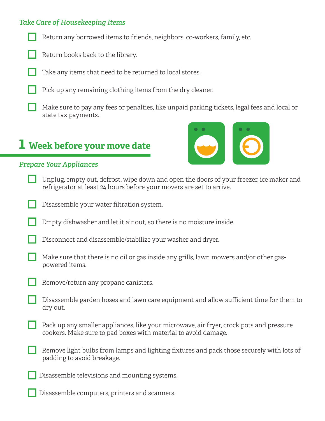#### *Take Care of Housekeeping Items*

- Return any borrowed items to friends, neighbors, co-workers, family, etc.
- Return books back to the library.
- Take any items that need to be returned to local stores.
	- Pick up any remaining clothing items from the dry cleaner.
- Make sure to pay any fees or penalties, like unpaid parking tickets, legal fees and local or state tax payments.

## **1 Week before your move date**



#### *Prepare Your Appliances*

- Unplug, empty out, defrost, wipe down and open the doors of your freezer, ice maker and refrigerator at least 24 hours before your movers are set to arrive.
- Disassemble your water filtration system.
- Empty dishwasher and let it air out, so there is no moisture inside.
- Disconnect and disassemble/stabilize your washer and dryer.
- Make sure that there is no oil or gas inside any grills, lawn mowers and/or other gaspowered items.
- Remove/return any propane canisters.
	- Disassemble garden hoses and lawn care equipment and allow sufficient time for them to dry out.
	- Pack up any smaller appliances, like your microwave, air fryer, crock pots and pressure cookers. Make sure to pad boxes with material to avoid damage.
	- Remove light bulbs from lamps and lighting fixtures and pack those securely with lots of padding to avoid breakage.
	- Disassemble televisions and mounting systems.
	- Disassemble computers, printers and scanners.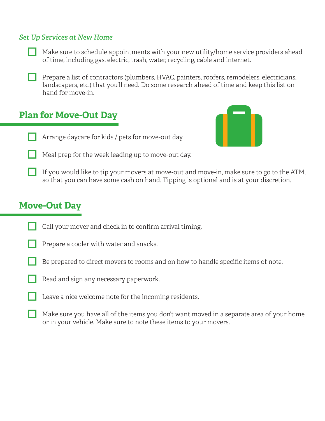#### *Set Up Services at New Home*



Make sure to schedule appointments with your new utility/home service providers ahead of time, including gas, electric, trash, water, recycling, cable and internet.

Prepare a list of contractors (plumbers, HVAC, painters, roofers, remodelers, electricians, landscapers, etc.) that you'll need. Do some research ahead of time and keep this list on hand for move-in.

### **Plan for Move-Out Day**



- Arrange daycare for kids / pets for move-out day.
- Meal prep for the week leading up to move-out day.
	- If you would like to tip your movers at move-out and move-in, make sure to go to the ATM, so that you can have some cash on hand. Tipping is optional and is at your discretion.

### **Move-Out Day**

- Call your mover and check in to confirm arrival timing.
- Prepare a cooler with water and snacks.
- Be prepared to direct movers to rooms and on how to handle specific items of note.
- Read and sign any necessary paperwork.
- Leave a nice welcome note for the incoming residents.
- Make sure you have all of the items you don't want moved in a separate area of your home or in your vehicle. Make sure to note these items to your movers.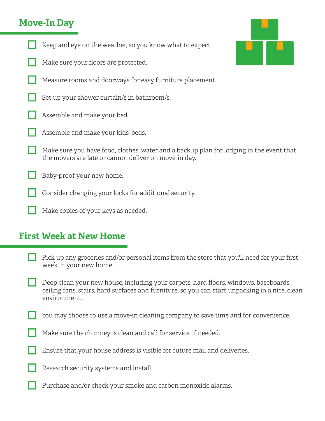## **Move-In Day**

- Keep and eye on the weather, so you know what to expect.
- Make sure your floors are protected.
- Measure rooms and doorways for easy furniture placement.
- Set up your shower curtain/s in bathroom/s.



- Assemble and make your kids' beds.
	- Make sure you have food, clothes, water and a backup plan for lodging in the event that the movers are late or cannot deliver on move-in day.
	- Baby-proof your new home.
- Consider changing your locks for additional security.
- Make copies of your keys as needed.

### **First Week at New Home**

- Pick up any groceries and/or personal items from the store that you'll need for your first week in your new home.
- Deep clean your new house, including your carpets, hard floors, windows, baseboards, ceiling fans, stairs, hard surfaces and furniture, so you can start unpacking in a nice, clean environment.
- You may choose to use a move-in cleaning company to save time and for convenience.
- Make sure the chimney is clean and call for service, if needed.
- Ensure that your house address is visible for future mail and deliveries.
- Research security systems and install.
- Purchase and/or check your smoke and carbon monoxide alarms.

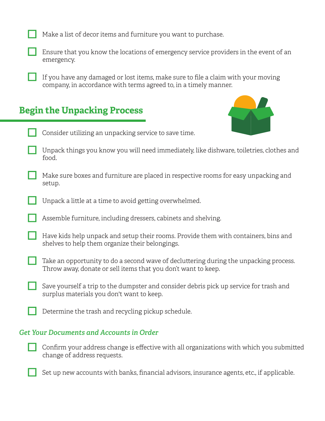Make a list of decor items and furniture you want to purchase.

Ensure that you know the locations of emergency service providers in the event of an emergency.

If you have any damaged or lost items, make sure to file a claim with your moving company, in accordance with terms agreed to, in a timely manner.

## **Begin the Unpacking Process**



- Consider utilizing an unpacking service to save time.
	- Unpack things you know you will need immediately, like dishware, toiletries, clothes and food.
	- Make sure boxes and furniture are placed in respective rooms for easy unpacking and setup.
- Unpack a little at a time to avoid getting overwhelmed.
- Assemble furniture, including dressers, cabinets and shelving.
- Have kids help unpack and setup their rooms. Provide them with containers, bins and shelves to help them organize their belongings.
- Take an opportunity to do a second wave of decluttering during the unpacking process. Throw away, donate or sell items that you don't want to keep.
- Save yourself a trip to the dumpster and consider debris pick up service for trash and surplus materials you don't want to keep.
	- Determine the trash and recycling pickup schedule.

#### *Get Your Documents and Accounts in Order*

- Confirm your address change is effective with all organizations with which you submitted change of address requests.
- Set up new accounts with banks, financial advisors, insurance agents, etc., if applicable.